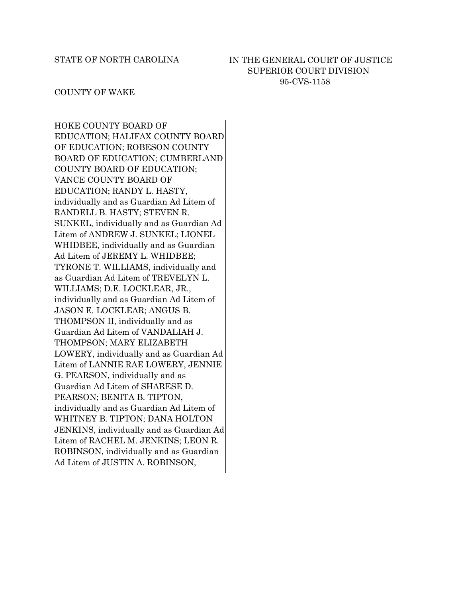### IN THE GENERAL COURT OF JUSTICE SUPERIOR COURT DIVISION 95-CVS-1158

#### COUNTY OF WAKE

HOKE COUNTY BOARD OF EDUCATION; HALIFAX COUNTY BOARD OF EDUCATION; ROBESON COUNTY BOARD OF EDUCATION; CUMBERLAND COUNTY BOARD OF EDUCATION; VANCE COUNTY BOARD OF EDUCATION; RANDY L. HASTY, individually and as Guardian Ad Litem of RANDELL B. HASTY; STEVEN R. SUNKEL, individually and as Guardian Ad Litem of ANDREW J. SUNKEL; LIONEL WHIDBEE, individually and as Guardian Ad Litem of JEREMY L. WHIDBEE; TYRONE T. WILLIAMS, individually and as Guardian Ad Litem of TREVELYN L. WILLIAMS; D.E. LOCKLEAR, JR., individually and as Guardian Ad Litem of JASON E. LOCKLEAR; ANGUS B. THOMPSON II, individually and as Guardian Ad Litem of VANDALIAH J. THOMPSON; MARY ELIZABETH LOWERY, individually and as Guardian Ad Litem of LANNIE RAE LOWERY, JENNIE G. PEARSON, individually and as Guardian Ad Litem of SHARESE D. PEARSON; BENITA B. TIPTON, individually and as Guardian Ad Litem of WHITNEY B. TIPTON; DANA HOLTON JENKINS, individually and as Guardian Ad Litem of RACHEL M. JENKINS; LEON R. ROBINSON, individually and as Guardian Ad Litem of JUSTIN A. ROBINSON,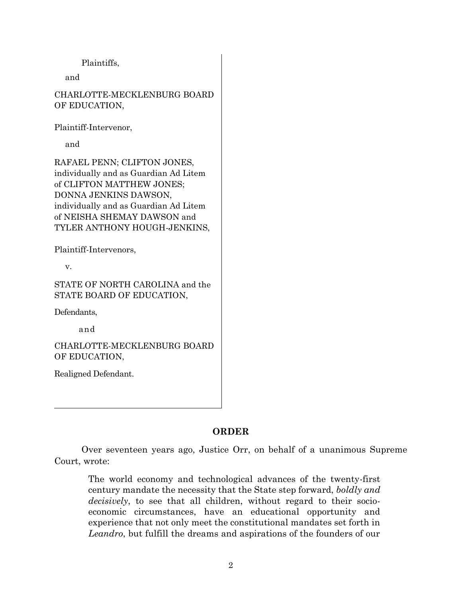Plaintiffs,

and

CHARLOTTE-MECKLENBURG BOARD OF EDUCATION,

Plaintiff-Intervenor,

and

RAFAEL PENN; CLIFTON JONES, individually and as Guardian Ad Litem of CLIFTON MATTHEW JONES; DONNA JENKINS DAWSON, individually and as Guardian Ad Litem of NEISHA SHEMAY DAWSON and TYLER ANTHONY HOUGH-JENKINS,

Plaintiff-Intervenors,

v.

STATE OF NORTH CAROLINA and the STATE BOARD OF EDUCATION,

Defendants,

and

CHARLOTTE-MECKLENBURG BOARD OF EDUCATION,

Realigned Defendant.

### **ORDER**

Over seventeen years ago, Justice Orr, on behalf of a unanimous Supreme Court, wrote:

The world economy and technological advances of the twenty-first century mandate the necessity that the State step forward, *boldly and decisively*, to see that all children, without regard to their socioeconomic circumstances, have an educational opportunity and experience that not only meet the constitutional mandates set forth in *Leandro*, but fulfill the dreams and aspirations of the founders of our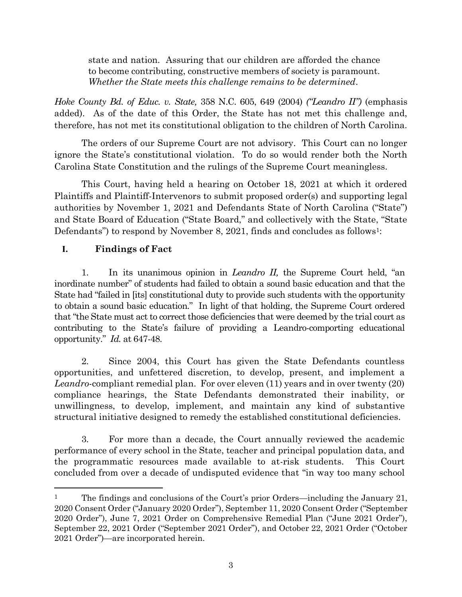state and nation. Assuring that our children are afforded the chance to become contributing, constructive members of society is paramount. *Whether the State meets this challenge remains to be determined*.

*Hoke County Bd. of Educ. v. State,* 358 N.C. 605, 649 (2004) *("Leandro II")* (emphasis added). As of the date of this Order, the State has not met this challenge and, therefore, has not met its constitutional obligation to the children of North Carolina.

The orders of our Supreme Court are not advisory. This Court can no longer ignore the State's constitutional violation. To do so would render both the North Carolina State Constitution and the rulings of the Supreme Court meaningless.

This Court, having held a hearing on October 18, 2021 at which it ordered Plaintiffs and Plaintiff-Intervenors to submit proposed order(s) and supporting legal authorities by November 1, 2021 and Defendants State of North Carolina ("State") and State Board of Education ("State Board," and collectively with the State, "State Defendants") to respond by November 8, 2021, finds and concludes as follows<sup>1</sup>:

# **I. Findings of Fact**

 $\overline{a}$ 

1. In its unanimous opinion in *Leandro II,* the Supreme Court held, "an inordinate number" of students had failed to obtain a sound basic education and that the State had "failed in [its] constitutional duty to provide such students with the opportunity to obtain a sound basic education." In light of that holding, the Supreme Court ordered that "the State must act to correct those deficiencies that were deemed by the trial court as contributing to the State's failure of providing a Leandro-comporting educational opportunity." *Id.* at 647-48.

2. Since 2004, this Court has given the State Defendants countless opportunities, and unfettered discretion, to develop, present, and implement a *Leandro*-compliant remedial plan. For over eleven (11) years and in over twenty (20) compliance hearings, the State Defendants demonstrated their inability, or unwillingness, to develop, implement, and maintain any kind of substantive structural initiative designed to remedy the established constitutional deficiencies.

3. For more than a decade, the Court annually reviewed the academic performance of every school in the State, teacher and principal population data, and the programmatic resources made available to at-risk students. This Court concluded from over a decade of undisputed evidence that "in way too many school

<sup>&</sup>lt;sup>1</sup> The findings and conclusions of the Court's prior Orders—including the January 21, 2020 Consent Order ("January 2020 Order"), September 11, 2020 Consent Order ("September 2020 Order"), June 7, 2021 Order on Comprehensive Remedial Plan ("June 2021 Order"), September 22, 2021 Order ("September 2021 Order"), and October 22, 2021 Order ("October 2021 Order")—are incorporated herein.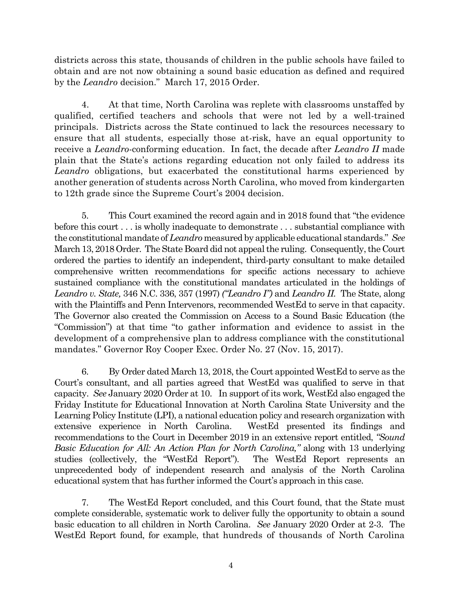districts across this state, thousands of children in the public schools have failed to obtain and are not now obtaining a sound basic education as defined and required by the *Leandro* decision." March 17, 2015 Order.

4. At that time, North Carolina was replete with classrooms unstaffed by qualified, certified teachers and schools that were not led by a well-trained principals. Districts across the State continued to lack the resources necessary to ensure that all students, especially those at-risk, have an equal opportunity to receive a *Leandro*-conforming education. In fact, the decade after *Leandro II* made plain that the State's actions regarding education not only failed to address its *Leandro* obligations, but exacerbated the constitutional harms experienced by another generation of students across North Carolina, who moved from kindergarten to 12th grade since the Supreme Court's 2004 decision.

5. This Court examined the record again and in 2018 found that "the evidence before this court . . . is wholly inadequate to demonstrate . . . substantial compliance with the constitutional mandate of *Leandro* measured by applicable educational standards." *See*  March 13, 2018 Order. The State Board did not appeal the ruling. Consequently, the Court ordered the parties to identify an independent, third-party consultant to make detailed comprehensive written recommendations for specific actions necessary to achieve sustained compliance with the constitutional mandates articulated in the holdings of *Leandro v. State,* 346 N.C. 336, 357 (1997) *("Leandro I")* and *Leandro II.* The State, along with the Plaintiffs and Penn Intervenors, recommended WestEd to serve in that capacity. The Governor also created the Commission on Access to a Sound Basic Education (the "Commission") at that time "to gather information and evidence to assist in the development of a comprehensive plan to address compliance with the constitutional mandates." Governor Roy Cooper Exec. Order No. 27 (Nov. 15, 2017).

6. By Order dated March 13, 2018, the Court appointed WestEd to serve as the Court's consultant, and all parties agreed that WestEd was qualified to serve in that capacity. *See* January 2020 Order at 10. In support of its work, WestEd also engaged the Friday Institute for Educational Innovation at North Carolina State University and the Learning Policy Institute (LPI), a national education policy and research organization with extensive experience in North Carolina. WestEd presented its findings and recommendations to the Court in December 2019 in an extensive report entitled, *"Sound Basic Education for All: An Action Plan for North Carolina,"* along with 13 underlying studies (collectively, the "WestEd Report"). The WestEd Report represents an unprecedented body of independent research and analysis of the North Carolina educational system that has further informed the Court's approach in this case.

7. The WestEd Report concluded, and this Court found, that the State must complete considerable, systematic work to deliver fully the opportunity to obtain a sound basic education to all children in North Carolina. *See* January 2020 Order at 2-3. The WestEd Report found, for example, that hundreds of thousands of North Carolina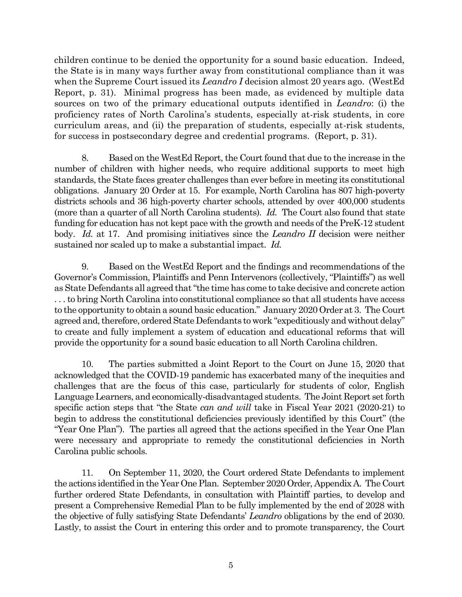children continue to be denied the opportunity for a sound basic education. Indeed, the State is in many ways further away from constitutional compliance than it was when the Supreme Court issued its *Leandro I* decision almost 20 years ago. (WestEd Report, p. 31). Minimal progress has been made, as evidenced by multiple data sources on two of the primary educational outputs identified in *Leandro*: (i) the proficiency rates of North Carolina's students, especially at-risk students, in core curriculum areas, and (ii) the preparation of students, especially at-risk students, for success in postsecondary degree and credential programs. (Report, p. 31).

8. Based on the WestEd Report, the Court found that due to the increase in the number of children with higher needs, who require additional supports to meet high standards, the State faces greater challenges than ever before in meeting its constitutional obligations. January 20 Order at 15. For example, North Carolina has 807 high-poverty districts schools and 36 high-poverty charter schools, attended by over 400,000 students (more than a quarter of all North Carolina students). *Id.* The Court also found that state funding for education has not kept pace with the growth and needs of the PreK-12 student body. *Id.* at 17. And promising initiatives since the *Leandro II* decision were neither sustained nor scaled up to make a substantial impact. *Id.*

9. Based on the WestEd Report and the findings and recommendations of the Governor's Commission, Plaintiffs and Penn Intervenors (collectively, "Plaintiffs") as well as State Defendants all agreed that "the time has come to take decisive and concrete action . . . to bring North Carolina into constitutional compliance so that all students have access to the opportunity to obtain a sound basic education." January 2020 Order at 3. The Court agreed and, therefore, ordered State Defendants to work "expeditiously and without delay" to create and fully implement a system of education and educational reforms that will provide the opportunity for a sound basic education to all North Carolina children.

10. The parties submitted a Joint Report to the Court on June 15, 2020 that acknowledged that the COVID-19 pandemic has exacerbated many of the inequities and challenges that are the focus of this case, particularly for students of color, English Language Learners, and economically-disadvantaged students. The Joint Report set forth specific action steps that "the State *can and will* take in Fiscal Year 2021 (2020-21) to begin to address the constitutional deficiencies previously identified by this Court" (the "Year One Plan"). The parties all agreed that the actions specified in the Year One Plan were necessary and appropriate to remedy the constitutional deficiencies in North Carolina public schools.

11. On September 11, 2020, the Court ordered State Defendants to implement the actions identified in the Year One Plan. September 2020 Order, Appendix A. The Court further ordered State Defendants, in consultation with Plaintiff parties, to develop and present a Comprehensive Remedial Plan to be fully implemented by the end of 2028 with the objective of fully satisfying State Defendants' *Leandro* obligations by the end of 2030. Lastly, to assist the Court in entering this order and to promote transparency, the Court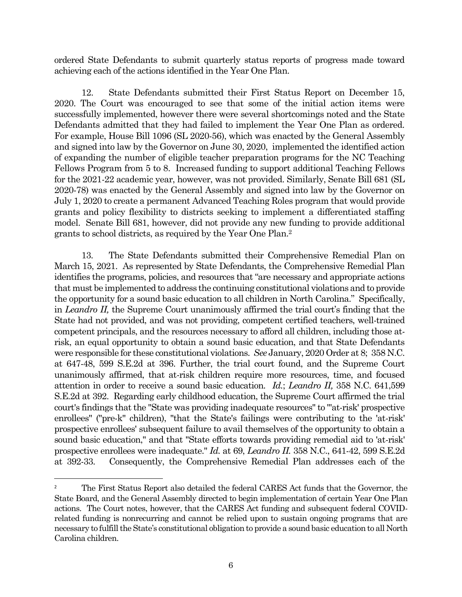ordered State Defendants to submit quarterly status reports of progress made toward achieving each of the actions identified in the Year One Plan.

12. State Defendants submitted their First Status Report on December 15, 2020. The Court was encouraged to see that some of the initial action items were successfully implemented, however there were several shortcomings noted and the State Defendants admitted that they had failed to implement the Year One Plan as ordered. For example, House Bill 1096 (SL 2020-56), which was enacted by the General Assembly and signed into law by the Governor on June 30, 2020, implemented the identified action of expanding the number of eligible teacher preparation programs for the NC Teaching Fellows Program from 5 to 8. Increased funding to support additional Teaching Fellows for the 2021-22 academic year, however, was not provided. Similarly, Senate Bill 681 (SL 2020-78) was enacted by the General Assembly and signed into law by the Governor on July 1, 2020 to create a permanent Advanced Teaching Roles program that would provide grants and policy flexibility to districts seeking to implement a differentiated staffing model. Senate Bill 681, however, did not provide any new funding to provide additional grants to school districts, as required by the Year One Plan.<sup>2</sup>

13. The State Defendants submitted their Comprehensive Remedial Plan on March 15, 2021. As represented by State Defendants, the Comprehensive Remedial Plan identifies the programs, policies, and resources that "are necessary and appropriate actions that must be implemented to address the continuing constitutional violations and to provide the opportunity for a sound basic education to all children in North Carolina." Specifically, in *Leandro II,* the Supreme Court unanimously affirmed the trial court's finding that the State had not provided, and was not providing, competent certified teachers, well-trained competent principals, and the resources necessary to afford all children, including those atrisk, an equal opportunity to obtain a sound basic education, and that State Defendants were responsible for these constitutional violations. *See* January, 2020 Order at 8; 358 N.C. at 647-48, 599 S.E.2d at 396. Further, the trial court found, and the Supreme Court unanimously affirmed, that at-risk children require more resources, time, and focused attention in order to receive a sound basic education. *Id.*; *Leandro II,* 358 N.C. 641,599 S.E.2d at 392. Regarding early childhood education, the Supreme Court affirmed the trial court's findings that the "State was providing inadequate resources" to "'at-risk' prospective enrollees" ("pre-k" children), "that the State's failings were contributing to the 'at-risk' prospective enrollees' subsequent failure to avail themselves of the opportunity to obtain a sound basic education," and that "State efforts towards providing remedial aid to 'at-risk' prospective enrollees were inadequate." *Id.* at 69, *Leandro II.* 358 N.C., 641-42, 599 S.E.2d at 392-33. Consequently, the Comprehensive Remedial Plan addresses each of the

 $\overline{a}$ 

<sup>&</sup>lt;sup>2</sup> The First Status Report also detailed the federal CARES Act funds that the Governor, the State Board, and the General Assembly directed to begin implementation of certain Year One Plan actions. The Court notes, however, that the CARES Act funding and subsequent federal COVIDrelated funding is nonrecurring and cannot be relied upon to sustain ongoing programs that are necessary to fulfill the State's constitutional obligation to provide a sound basic education to all North Carolina children.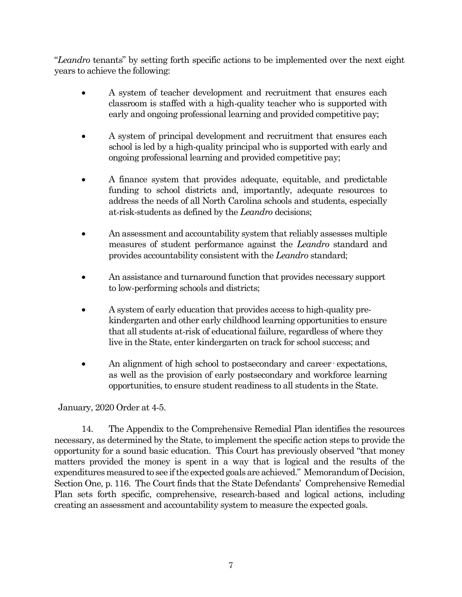"*Leandro* tenants" by setting forth specific actions to be implemented over the next eight years to achieve the following:

- A system of teacher development and recruitment that ensures each classroom is staffed with a high-quality teacher who is supported with early and ongoing professional learning and provided competitive pay;
- A system of principal development and recruitment that ensures each school is led by a high-quality principal who is supported with early and ongoing professional learning and provided competitive pay;
- A finance system that provides adequate, equitable, and predictable funding to school districts and, importantly, adequate resources to address the needs of all North Carolina schools and students, especially at-risk-students as defined by the *Leandro* decisions;
- An assessment and accountability system that reliably assesses multiple measures of student performance against the *Leandro* standard and provides accountability consistent with the *Leandro* standard;
- An assistance and turnaround function that provides necessary support to low-performing schools and districts;
- A system of early education that provides access to high-quality prekindergarten and other early childhood learning opportunities to ensure that all students at-risk of educational failure, regardless of where they live in the State, enter kindergarten on track for school success; and
- An alignment of high school to postsecondary and career expectations, as well as the provision of early postsecondary and workforce learning opportunities, to ensure student readiness to all students in the State.

January, 2020 Order at 4-5.

14. The Appendix to the Comprehensive Remedial Plan identifies the resources necessary, as determined by the State, to implement the specific action steps to provide the opportunity for a sound basic education. This Court has previously observed "that money matters provided the money is spent in a way that is logical and the results of the expenditures measured to see if the expected goals are achieved." Memorandum of Decision, Section One, p. 116. The Court finds that the State Defendants' Comprehensive Remedial Plan sets forth specific, comprehensive, research-based and logical actions, including creating an assessment and accountability system to measure the expected goals.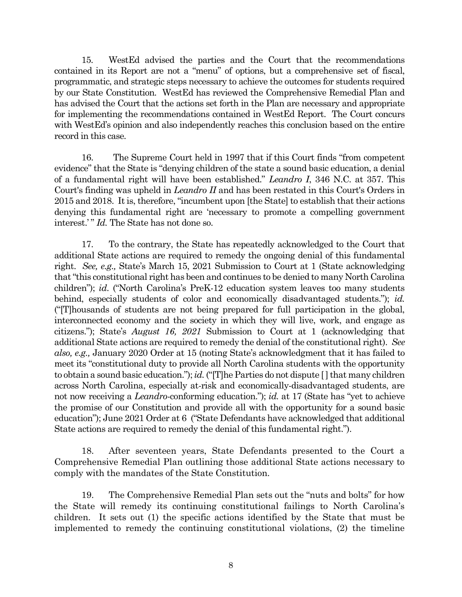15. WestEd advised the parties and the Court that the recommendations contained in its Report are not a "menu" of options, but a comprehensive set of fiscal, programmatic, and strategic steps necessary to achieve the outcomes for students required by our State Constitution. WestEd has reviewed the Comprehensive Remedial Plan and has advised the Court that the actions set forth in the Plan are necessary and appropriate for implementing the recommendations contained in WestEd Report. The Court concurs with WestEd's opinion and also independently reaches this conclusion based on the entire record in this case.

16. The Supreme Court held in 1997 that if this Court finds "from competent evidence" that the State is "denying children of the state a sound basic education, a denial of a fundamental right will have been established." *Leandro I*, 346 N.C. at 357. This Court's finding was upheld in *Leandro II* and has been restated in this Court's Orders in 2015 and 2018. It is, therefore, "incumbent upon [the State] to establish that their actions denying this fundamental right are 'necessary to promote a compelling government interest.'" *Id.* The State has not done so.

17. To the contrary, the State has repeatedly acknowledged to the Court that additional State actions are required to remedy the ongoing denial of this fundamental right. *See, e.g.,* State's March 15, 2021 Submission to Court at 1 (State acknowledging that "this constitutional right has been and continues to be denied to many North Carolina children"); *id*. ("North Carolina's PreK-12 education system leaves too many students behind, especially students of color and economically disadvantaged students."); *id.* ("[T]housands of students are not being prepared for full participation in the global, interconnected economy and the society in which they will live, work, and engage as citizens."); State's *August 16, 2021* Submission to Court at 1 (acknowledging that additional State actions are required to remedy the denial of the constitutional right). *See also, e.g.,* January 2020 Order at 15 (noting State's acknowledgment that it has failed to meet its "constitutional duty to provide all North Carolina students with the opportunity to obtain a sound basic education."); *id.* ("[T]he Parties do not dispute [ ] that many children across North Carolina, especially at-risk and economically-disadvantaged students, are not now receiving a *Leandro*-conforming education."); *id.* at 17 (State has "yet to achieve the promise of our Constitution and provide all with the opportunity for a sound basic education"); June 2021 Order at 6 ("State Defendants have acknowledged that additional State actions are required to remedy the denial of this fundamental right.").

18. After seventeen years, State Defendants presented to the Court a Comprehensive Remedial Plan outlining those additional State actions necessary to comply with the mandates of the State Constitution.

19. The Comprehensive Remedial Plan sets out the "nuts and bolts" for how the State will remedy its continuing constitutional failings to North Carolina's children. It sets out (1) the specific actions identified by the State that must be implemented to remedy the continuing constitutional violations, (2) the timeline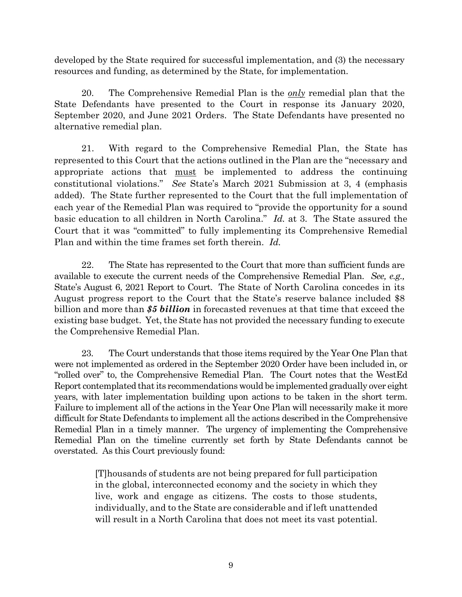developed by the State required for successful implementation, and (3) the necessary resources and funding, as determined by the State, for implementation.

20. The Comprehensive Remedial Plan is the *only* remedial plan that the State Defendants have presented to the Court in response its January 2020, September 2020, and June 2021 Orders. The State Defendants have presented no alternative remedial plan.

21. With regard to the Comprehensive Remedial Plan, the State has represented to this Court that the actions outlined in the Plan are the "necessary and appropriate actions that must be implemented to address the continuing constitutional violations." *See* State's March 2021 Submission at 3, 4 (emphasis added). The State further represented to the Court that the full implementation of each year of the Remedial Plan was required to "provide the opportunity for a sound basic education to all children in North Carolina." *Id.* at 3. The State assured the Court that it was "committed" to fully implementing its Comprehensive Remedial Plan and within the time frames set forth therein. *Id.*

22. The State has represented to the Court that more than sufficient funds are available to execute the current needs of the Comprehensive Remedial Plan. *See, e.g.,*  State's August 6, 2021 Report to Court. The State of North Carolina concedes in its August progress report to the Court that the State's reserve balance included \$8 billion and more than *\$5 billion* in forecasted revenues at that time that exceed the existing base budget. Yet, the State has not provided the necessary funding to execute the Comprehensive Remedial Plan.

23. The Court understands that those items required by the Year One Plan that were not implemented as ordered in the September 2020 Order have been included in, or "rolled over" to, the Comprehensive Remedial Plan. The Court notes that the WestEd Report contemplated that its recommendations would be implemented gradually over eight years, with later implementation building upon actions to be taken in the short term. Failure to implement all of the actions in the Year One Plan will necessarily make it more difficult for State Defendants to implement all the actions described in the Comprehensive Remedial Plan in a timely manner. The urgency of implementing the Comprehensive Remedial Plan on the timeline currently set forth by State Defendants cannot be overstated. As this Court previously found:

> [T]housands of students are not being prepared for full participation in the global, interconnected economy and the society in which they live, work and engage as citizens. The costs to those students, individually, and to the State are considerable and if left unattended will result in a North Carolina that does not meet its vast potential.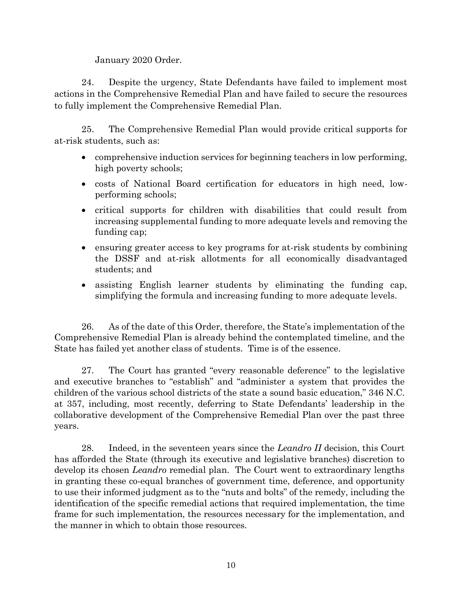January 2020 Order.

24. Despite the urgency, State Defendants have failed to implement most actions in the Comprehensive Remedial Plan and have failed to secure the resources to fully implement the Comprehensive Remedial Plan.

25. The Comprehensive Remedial Plan would provide critical supports for at-risk students, such as:

- comprehensive induction services for beginning teachers in low performing, high poverty schools;
- costs of National Board certification for educators in high need, lowperforming schools;
- critical supports for children with disabilities that could result from increasing supplemental funding to more adequate levels and removing the funding cap;
- ensuring greater access to key programs for at-risk students by combining the DSSF and at-risk allotments for all economically disadvantaged students; and
- assisting English learner students by eliminating the funding cap, simplifying the formula and increasing funding to more adequate levels.

26. As of the date of this Order, therefore, the State's implementation of the Comprehensive Remedial Plan is already behind the contemplated timeline, and the State has failed yet another class of students. Time is of the essence.

27. The Court has granted "every reasonable deference" to the legislative and executive branches to "establish" and "administer a system that provides the children of the various school districts of the state a sound basic education," 346 N.C. at 357, including, most recently, deferring to State Defendants' leadership in the collaborative development of the Comprehensive Remedial Plan over the past three years.

28. Indeed, in the seventeen years since the *Leandro II* decision, this Court has afforded the State (through its executive and legislative branches) discretion to develop its chosen *Leandro* remedial plan. The Court went to extraordinary lengths in granting these co-equal branches of government time, deference, and opportunity to use their informed judgment as to the "nuts and bolts" of the remedy, including the identification of the specific remedial actions that required implementation, the time frame for such implementation, the resources necessary for the implementation, and the manner in which to obtain those resources.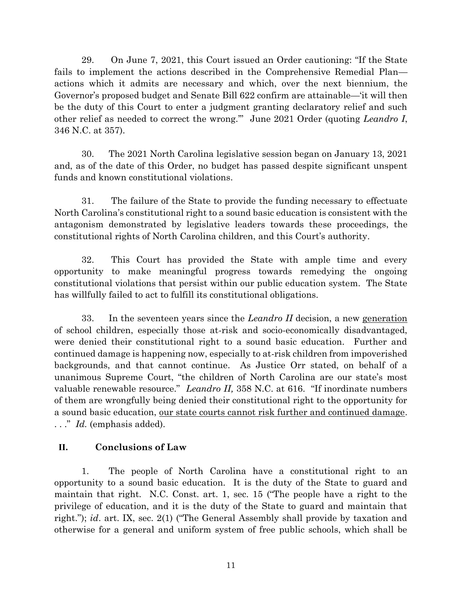29. On June 7, 2021, this Court issued an Order cautioning: "If the State fails to implement the actions described in the Comprehensive Remedial Plan actions which it admits are necessary and which, over the next biennium, the Governor's proposed budget and Senate Bill 622 confirm are attainable—'it will then be the duty of this Court to enter a judgment granting declaratory relief and such other relief as needed to correct the wrong.'" June 2021 Order (quoting *Leandro I*, 346 N.C. at 357).

30. The 2021 North Carolina legislative session began on January 13, 2021 and, as of the date of this Order, no budget has passed despite significant unspent funds and known constitutional violations.

31. The failure of the State to provide the funding necessary to effectuate North Carolina's constitutional right to a sound basic education is consistent with the antagonism demonstrated by legislative leaders towards these proceedings, the constitutional rights of North Carolina children, and this Court's authority.

32. This Court has provided the State with ample time and every opportunity to make meaningful progress towards remedying the ongoing constitutional violations that persist within our public education system. The State has willfully failed to act to fulfill its constitutional obligations.

33. In the seventeen years since the *Leandro II* decision, a new generation of school children, especially those at-risk and socio-economically disadvantaged, were denied their constitutional right to a sound basic education. Further and continued damage is happening now, especially to at-risk children from impoverished backgrounds, and that cannot continue. As Justice Orr stated, on behalf of a unanimous Supreme Court, "the children of North Carolina are our state's most valuable renewable resource." *Leandro II,* 358 N.C. at 616. "If inordinate numbers of them are wrongfully being denied their constitutional right to the opportunity for a sound basic education, our state courts cannot risk further and continued damage. . . ." *Id.* (emphasis added).

## **II. Conclusions of Law**

1. The people of North Carolina have a constitutional right to an opportunity to a sound basic education. It is the duty of the State to guard and maintain that right. N.C. Const. art. 1, sec. 15 ("The people have a right to the privilege of education, and it is the duty of the State to guard and maintain that right."); *id*. art. IX, sec. 2(1) ("The General Assembly shall provide by taxation and otherwise for a general and uniform system of free public schools, which shall be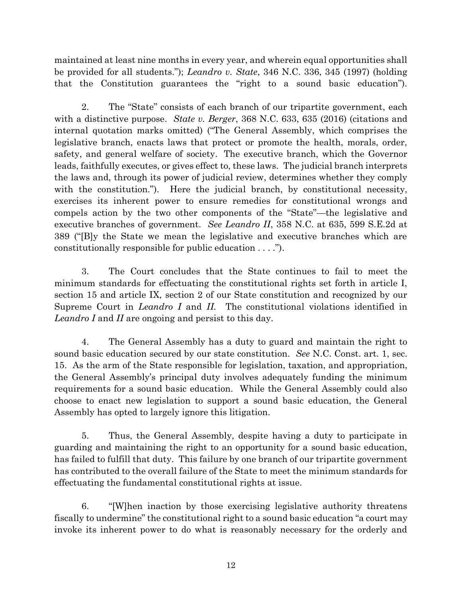maintained at least nine months in every year, and wherein equal opportunities shall be provided for all students."); *Leandro v. State*, 346 N.C. 336, 345 (1997) (holding that the Constitution guarantees the "right to a sound basic education").

2. The "State" consists of each branch of our tripartite government, each with a distinctive purpose. *State v. Berger*, 368 N.C. 633, 635 (2016) (citations and internal quotation marks omitted) ("The General Assembly, which comprises the legislative branch, enacts laws that protect or promote the health, morals, order, safety, and general welfare of society. The executive branch, which the Governor leads, faithfully executes, or gives effect to, these laws. The judicial branch interprets the laws and, through its power of judicial review, determines whether they comply with the constitution."). Here the judicial branch, by constitutional necessity, exercises its inherent power to ensure remedies for constitutional wrongs and compels action by the two other components of the "State"—the legislative and executive branches of government. *See Leandro II*, 358 N.C. at 635, 599 S.E.2d at 389 ("[B]y the State we mean the legislative and executive branches which are constitutionally responsible for public education . . . .").

3. The Court concludes that the State continues to fail to meet the minimum standards for effectuating the constitutional rights set forth in article I, section 15 and article IX, section 2 of our State constitution and recognized by our Supreme Court in *Leandro I* and *II.* The constitutional violations identified in *Leandro I* and *II* are ongoing and persist to this day.

4. The General Assembly has a duty to guard and maintain the right to sound basic education secured by our state constitution. *See* N.C. Const. art. 1, sec. 15. As the arm of the State responsible for legislation, taxation, and appropriation, the General Assembly's principal duty involves adequately funding the minimum requirements for a sound basic education. While the General Assembly could also choose to enact new legislation to support a sound basic education, the General Assembly has opted to largely ignore this litigation.

5. Thus, the General Assembly, despite having a duty to participate in guarding and maintaining the right to an opportunity for a sound basic education, has failed to fulfill that duty. This failure by one branch of our tripartite government has contributed to the overall failure of the State to meet the minimum standards for effectuating the fundamental constitutional rights at issue.

6. "[W]hen inaction by those exercising legislative authority threatens fiscally to undermine" the constitutional right to a sound basic education "a court may invoke its inherent power to do what is reasonably necessary for the orderly and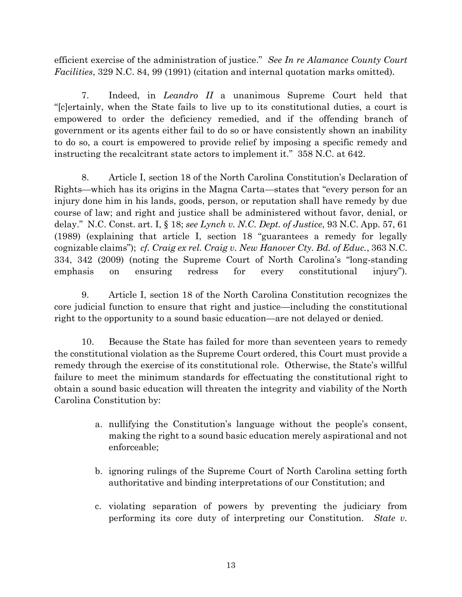efficient exercise of the administration of justice." *See In re Alamance County Court Facilities*, 329 N.C. 84, 99 (1991) (citation and internal quotation marks omitted).

7. Indeed, in *Leandro II* a unanimous Supreme Court held that "[c]ertainly, when the State fails to live up to its constitutional duties, a court is empowered to order the deficiency remedied, and if the offending branch of government or its agents either fail to do so or have consistently shown an inability to do so, a court is empowered to provide relief by imposing a specific remedy and instructing the recalcitrant state actors to implement it." 358 N.C. at 642.

8. Article I, section 18 of the North Carolina Constitution's Declaration of Rights—which has its origins in the Magna Carta—states that "every person for an injury done him in his lands, goods, person, or reputation shall have remedy by due course of law; and right and justice shall be administered without favor, denial, or delay." N.C. Const. art. I, § 18; *see Lynch v. N.C. Dept. of Justice*, 93 N.C. App. 57, 61 (1989) (explaining that article I, section 18 "guarantees a remedy for legally cognizable claims"); *cf. Craig ex rel. Craig v. New Hanover Cty. Bd. of Educ.*, 363 N.C. 334, 342 (2009) (noting the Supreme Court of North Carolina's "long-standing emphasis on ensuring redress for every constitutional injury").

9. Article I, section 18 of the North Carolina Constitution recognizes the core judicial function to ensure that right and justice—including the constitutional right to the opportunity to a sound basic education—are not delayed or denied.

10. Because the State has failed for more than seventeen years to remedy the constitutional violation as the Supreme Court ordered, this Court must provide a remedy through the exercise of its constitutional role. Otherwise, the State's willful failure to meet the minimum standards for effectuating the constitutional right to obtain a sound basic education will threaten the integrity and viability of the North Carolina Constitution by:

- a. nullifying the Constitution's language without the people's consent, making the right to a sound basic education merely aspirational and not enforceable;
- b. ignoring rulings of the Supreme Court of North Carolina setting forth authoritative and binding interpretations of our Constitution; and
- c. violating separation of powers by preventing the judiciary from performing its core duty of interpreting our Constitution. *State v.*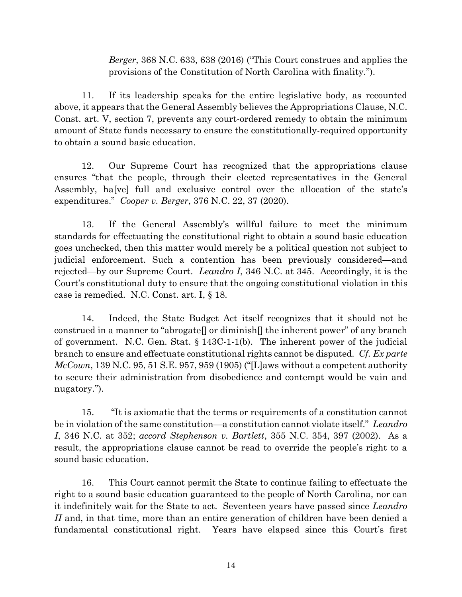*Berger*, 368 N.C. 633, 638 (2016) ("This Court construes and applies the provisions of the Constitution of North Carolina with finality.").

11. If its leadership speaks for the entire legislative body, as recounted above, it appears that the General Assembly believes the Appropriations Clause, N.C. Const. art. V, section 7, prevents any court-ordered remedy to obtain the minimum amount of State funds necessary to ensure the constitutionally-required opportunity to obtain a sound basic education.

12. Our Supreme Court has recognized that the appropriations clause ensures "that the people, through their elected representatives in the General Assembly, ha[ve] full and exclusive control over the allocation of the state's expenditures." *Cooper v. Berger*, 376 N.C. 22, 37 (2020).

13. If the General Assembly's willful failure to meet the minimum standards for effectuating the constitutional right to obtain a sound basic education goes unchecked, then this matter would merely be a political question not subject to judicial enforcement. Such a contention has been previously considered—and rejected—by our Supreme Court. *Leandro I*, 346 N.C. at 345. Accordingly, it is the Court's constitutional duty to ensure that the ongoing constitutional violation in this case is remedied. N.C. Const. art. I, § 18.

14. Indeed, the State Budget Act itself recognizes that it should not be construed in a manner to "abrogate[] or diminish[] the inherent power" of any branch of government. N.C. Gen. Stat. § 143C-1-1(b). The inherent power of the judicial branch to ensure and effectuate constitutional rights cannot be disputed. *Cf. Ex parte McCown*, 139 N.C. 95, 51 S.E. 957, 959 (1905) ("[L]aws without a competent authority to secure their administration from disobedience and contempt would be vain and nugatory.").

15. "It is axiomatic that the terms or requirements of a constitution cannot be in violation of the same constitution—a constitution cannot violate itself." *Leandro I*, 346 N.C. at 352; *accord Stephenson v. Bartlett*, 355 N.C. 354, 397 (2002). As a result, the appropriations clause cannot be read to override the people's right to a sound basic education.

16. This Court cannot permit the State to continue failing to effectuate the right to a sound basic education guaranteed to the people of North Carolina, nor can it indefinitely wait for the State to act. Seventeen years have passed since *Leandro II* and, in that time, more than an entire generation of children have been denied a fundamental constitutional right. Years have elapsed since this Court's first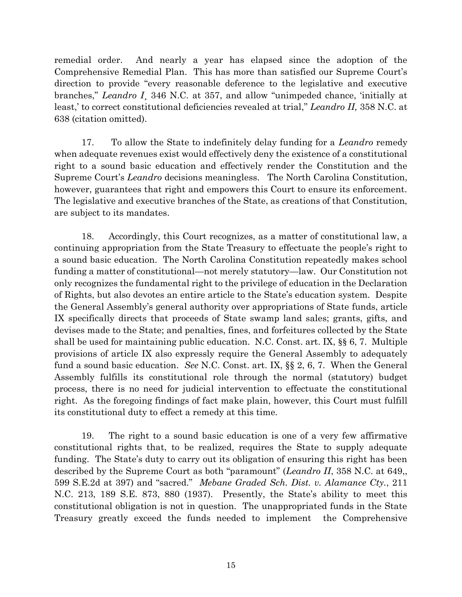remedial order. And nearly a year has elapsed since the adoption of the Comprehensive Remedial Plan. This has more than satisfied our Supreme Court's direction to provide "every reasonable deference to the legislative and executive branches," *Leandro I*¸ 346 N.C. at 357, and allow "unimpeded chance, 'initially at least,' to correct constitutional deficiencies revealed at trial," *Leandro II,* 358 N.C. at 638 (citation omitted).

17. To allow the State to indefinitely delay funding for a *Leandro* remedy when adequate revenues exist would effectively deny the existence of a constitutional right to a sound basic education and effectively render the Constitution and the Supreme Court's *Leandro* decisions meaningless. The North Carolina Constitution, however, guarantees that right and empowers this Court to ensure its enforcement. The legislative and executive branches of the State, as creations of that Constitution, are subject to its mandates.

18. Accordingly, this Court recognizes, as a matter of constitutional law, a continuing appropriation from the State Treasury to effectuate the people's right to a sound basic education. The North Carolina Constitution repeatedly makes school funding a matter of constitutional—not merely statutory—law. Our Constitution not only recognizes the fundamental right to the privilege of education in the Declaration of Rights, but also devotes an entire article to the State's education system. Despite the General Assembly's general authority over appropriations of State funds, article IX specifically directs that proceeds of State swamp land sales; grants, gifts, and devises made to the State; and penalties, fines, and forfeitures collected by the State shall be used for maintaining public education. N.C. Const. art. IX, §§ 6, 7. Multiple provisions of article IX also expressly require the General Assembly to adequately fund a sound basic education. *See* N.C. Const. art. IX, §§ 2, 6, 7. When the General Assembly fulfills its constitutional role through the normal (statutory) budget process, there is no need for judicial intervention to effectuate the constitutional right. As the foregoing findings of fact make plain, however, this Court must fulfill its constitutional duty to effect a remedy at this time.

19. The right to a sound basic education is one of a very few affirmative constitutional rights that, to be realized, requires the State to supply adequate funding. The State's duty to carry out its obligation of ensuring this right has been described by the Supreme Court as both "paramount" (*Leandro II*, 358 N.C. at 649,, 599 S.E.2d at 397) and "sacred." *Mebane Graded Sch. Dist. v. Alamance Cty.*, 211 N.C. 213, 189 S.E. 873, 880 (1937). Presently, the State's ability to meet this constitutional obligation is not in question. The unappropriated funds in the State Treasury greatly exceed the funds needed to implement the Comprehensive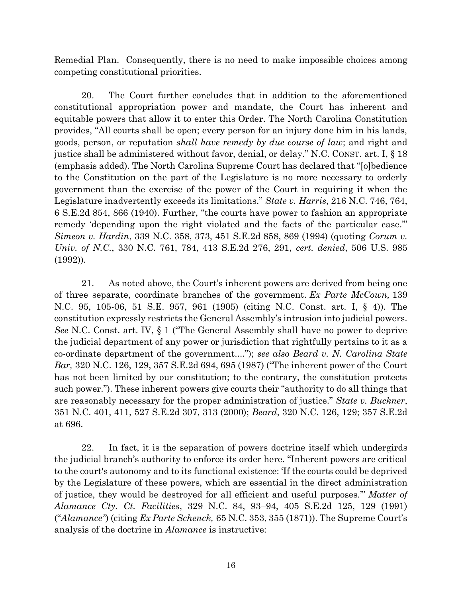Remedial Plan. Consequently, there is no need to make impossible choices among competing constitutional priorities.

20. The Court further concludes that in addition to the aforementioned constitutional appropriation power and mandate, the Court has inherent and equitable powers that allow it to enter this Order. The North Carolina Constitution provides, "All courts shall be open; every person for an injury done him in his lands, goods, person, or reputation *shall have remedy by due course of law*; and right and justice shall be administered without favor, denial, or delay." N.C. CONST. art. I, § 18 (emphasis added). The North Carolina Supreme Court has declared that "[o]bedience to the Constitution on the part of the Legislature is no more necessary to orderly government than the exercise of the power of the Court in requiring it when the Legislature inadvertently exceeds its limitations." *State v. Harris*, 216 N.C. 746, 764, 6 S.E.2d 854, 866 (1940). Further, "the courts have power to fashion an appropriate remedy 'depending upon the right violated and the facts of the particular case.'" *Simeon v. Hardin*, 339 N.C. 358, 373, 451 S.E.2d 858, 869 (1994) (quoting *Corum v. Univ. of N.C.*, 330 N.C. 761, 784, 413 S.E.2d 276, 291, *cert. denied*, 506 U.S. 985 (1992)).

21. As noted above, the Court's inherent powers are derived from being one of three separate, coordinate branches of the government. *Ex Parte McCown,* 139 N.C. 95, 105-06, 51 S.E. 957, 961 (1905) (citing N.C. Const. art. I, § 4)). The constitution expressly restricts the General Assembly's intrusion into judicial powers. *See* N.C. Const. art. IV, § 1 ("The General Assembly shall have no power to deprive the judicial department of any power or jurisdiction that rightfully pertains to it as a co-ordinate department of the government...."); *see also Beard v. N. Carolina State Bar,* 320 N.C. 126, 129, 357 S.E.2d 694, 695 (1987) ("The inherent power of the Court has not been limited by our constitution; to the contrary, the constitution protects such power."). These inherent powers give courts their "authority to do all things that are reasonably necessary for the proper administration of justice." *State v. Buckner*, 351 N.C. 401, 411, 527 S.E.2d 307, 313 (2000); *Beard*, 320 N.C. 126, 129; 357 S.E.2d at 696.

22. In fact, it is the separation of powers doctrine itself which undergirds the judicial branch's authority to enforce its order here. "Inherent powers are critical to the court's autonomy and to its functional existence: 'If the courts could be deprived by the Legislature of these powers, which are essential in the direct administration of justice, they would be destroyed for all efficient and useful purposes.'" *Matter of Alamance Cty. Ct. Facilities*, 329 N.C. 84, 93–94, 405 S.E.2d 125, 129 (1991) ("*Alamance"*) (citing *Ex Parte Schenck,* 65 N.C. 353, 355 (1871)). The Supreme Court's analysis of the doctrine in *Alamance* is instructive: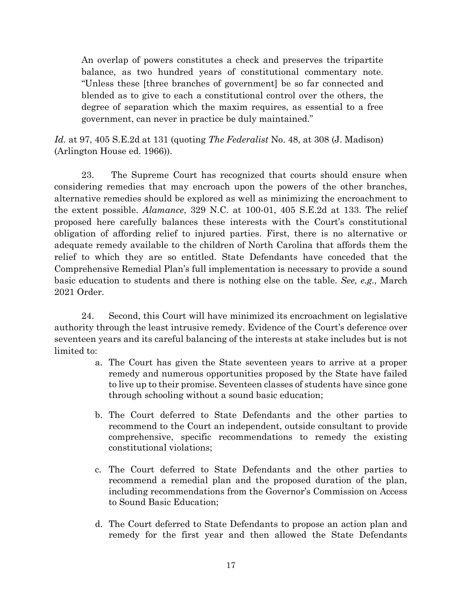An overlap of powers constitutes a check and preserves the tripartite balance, as two hundred years of constitutional commentary note. "Unless these [three branches of government] be so far connected and blended as to give to each a constitutional control over the others, the degree of separation which the maxim requires, as essential to a free government, can never in practice be duly maintained."

*Id.* at 97, 405 S.E.2d at 131 (quoting *The Federalist* No. 48, at 308 (J. Madison) (Arlington House ed. 1966)).

23. The Supreme Court has recognized that courts should ensure when considering remedies that may encroach upon the powers of the other branches, alternative remedies should be explored as well as minimizing the encroachment to the extent possible. *Alamance*, 329 N.C. at 100-01, 405 S.E.2d at 133. The relief proposed here carefully balances these interests with the Court's constitutional obligation of affording relief to injured parties. First, there is no alternative or adequate remedy available to the children of North Carolina that affords them the relief to which they are so entitled. State Defendants have conceded that the Comprehensive Remedial Plan's full implementation is necessary to provide a sound basic education to students and there is nothing else on the table. *See, e.g.,* March 2021 Order.

24. Second, this Court will have minimized its encroachment on legislative authority through the least intrusive remedy. Evidence of the Court's deference over seventeen years and its careful balancing of the interests at stake includes but is not limited to:

- a. The Court has given the State seventeen years to arrive at a proper remedy and numerous opportunities proposed by the State have failed to live up to their promise. Seventeen classes of students have since gone through schooling without a sound basic education;
- b. The Court deferred to State Defendants and the other parties to recommend to the Court an independent, outside consultant to provide comprehensive, specific recommendations to remedy the existing constitutional violations;
- c. The Court deferred to State Defendants and the other parties to recommend a remedial plan and the proposed duration of the plan, including recommendations from the Governor's Commission on Access to Sound Basic Education;
- d. The Court deferred to State Defendants to propose an action plan and remedy for the first year and then allowed the State Defendants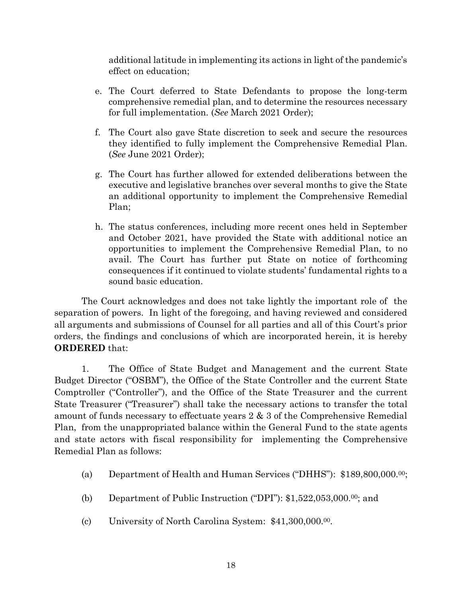additional latitude in implementing its actions in light of the pandemic's effect on education;

- e. The Court deferred to State Defendants to propose the long-term comprehensive remedial plan, and to determine the resources necessary for full implementation. (*See* March 2021 Order);
- f. The Court also gave State discretion to seek and secure the resources they identified to fully implement the Comprehensive Remedial Plan. (*See* June 2021 Order);
- g. The Court has further allowed for extended deliberations between the executive and legislative branches over several months to give the State an additional opportunity to implement the Comprehensive Remedial Plan;
- h. The status conferences, including more recent ones held in September and October 2021, have provided the State with additional notice an opportunities to implement the Comprehensive Remedial Plan, to no avail. The Court has further put State on notice of forthcoming consequences if it continued to violate students' fundamental rights to a sound basic education.

The Court acknowledges and does not take lightly the important role of the separation of powers. In light of the foregoing, and having reviewed and considered all arguments and submissions of Counsel for all parties and all of this Court's prior orders, the findings and conclusions of which are incorporated herein, it is hereby **ORDERED** that:

1. The Office of State Budget and Management and the current State Budget Director ("OSBM"), the Office of the State Controller and the current State Comptroller ("Controller"), and the Office of the State Treasurer and the current State Treasurer ("Treasurer") shall take the necessary actions to transfer the total amount of funds necessary to effectuate years 2 & 3 of the Comprehensive Remedial Plan, from the unappropriated balance within the General Fund to the state agents and state actors with fiscal responsibility for implementing the Comprehensive Remedial Plan as follows:

- (a) Department of Health and Human Services ("DHHS"): \$189,800,000.00;
- (b) Department of Public Instruction ("DPI"):  $$1,522,053,000.00$ ; and
- (c) University of North Carolina System: \$41,300,000. 00.